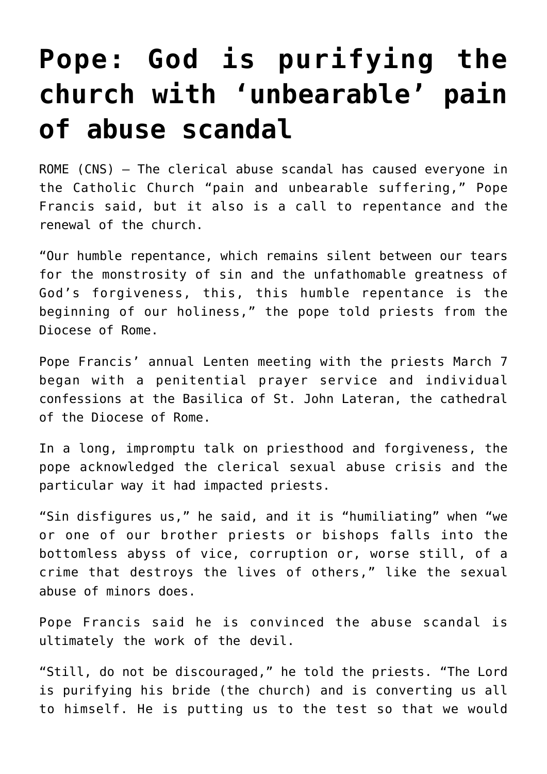## **[Pope: God is purifying the](https://www.osvnews.com/2019/03/08/pope-god-is-purifying-the-church-with-unbearable-pain-of-abuse-scandal/) [church with 'unbearable' pain](https://www.osvnews.com/2019/03/08/pope-god-is-purifying-the-church-with-unbearable-pain-of-abuse-scandal/) [of abuse scandal](https://www.osvnews.com/2019/03/08/pope-god-is-purifying-the-church-with-unbearable-pain-of-abuse-scandal/)**

ROME (CNS) — The clerical abuse scandal has caused everyone in the Catholic Church "pain and unbearable suffering," Pope Francis said, but it also is a call to repentance and the renewal of the church.

"Our humble repentance, which remains silent between our tears for the monstrosity of sin and the unfathomable greatness of God's forgiveness, this, this humble repentance is the beginning of our holiness," the pope told priests from the Diocese of Rome.

Pope Francis' annual Lenten meeting with the priests March 7 began with a penitential prayer service and individual confessions at the Basilica of St. John Lateran, the cathedral of the Diocese of Rome.

In a long, impromptu talk on priesthood and forgiveness, the pope acknowledged the clerical sexual abuse crisis and the particular way it had impacted priests.

"Sin disfigures us," he said, and it is "humiliating" when "we or one of our brother priests or bishops falls into the bottomless abyss of vice, corruption or, worse still, of a crime that destroys the lives of others," like the sexual abuse of minors does.

Pope Francis said he is convinced the abuse scandal is ultimately the work of the devil.

"Still, do not be discouraged," he told the priests. "The Lord is purifying his bride (the church) and is converting us all to himself. He is putting us to the test so that we would